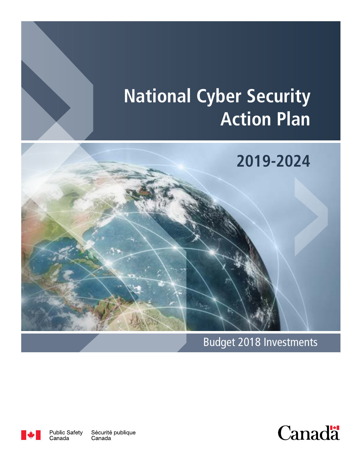# **National Cyber Security Action Plan**



Budget 2018 Investments





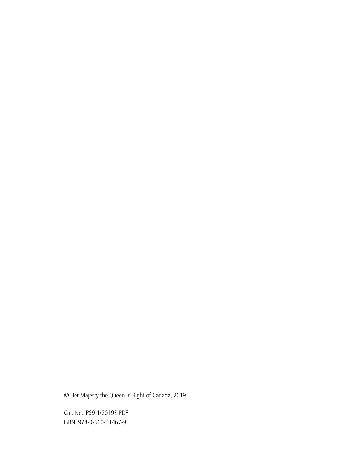© Her Majesty the Queen in Right of Canada, 2019

Cat. No.: PS9-1/2019E-PDF ISBN: 978-0-660-31467-9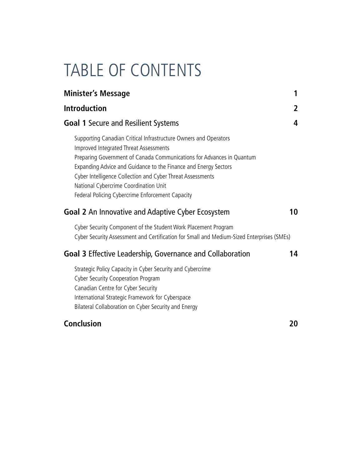# TABLE OF CONTENTS

| <b>Minister's Message</b>                                                                                                                                                                                                                                                                                                                                                                                         | 1  |
|-------------------------------------------------------------------------------------------------------------------------------------------------------------------------------------------------------------------------------------------------------------------------------------------------------------------------------------------------------------------------------------------------------------------|----|
| <b>Introduction</b>                                                                                                                                                                                                                                                                                                                                                                                               | 2  |
| <b>Goal 1 Secure and Resilient Systems</b>                                                                                                                                                                                                                                                                                                                                                                        | 4  |
| Supporting Canadian Critical Infrastructure Owners and Operators<br>Improved Integrated Threat Assessments<br>Preparing Government of Canada Communications for Advances in Quantum<br>Expanding Advice and Guidance to the Finance and Energy Sectors<br>Cyber Intelligence Collection and Cyber Threat Assessments<br>National Cybercrime Coordination Unit<br>Federal Policing Cybercrime Enforcement Capacity |    |
| <b>Goal 2</b> An Innovative and Adaptive Cyber Ecosystem                                                                                                                                                                                                                                                                                                                                                          | 10 |
| Cyber Security Component of the Student Work Placement Program<br>Cyber Security Assessment and Certification for Small and Medium-Sized Enterprises (SMEs)                                                                                                                                                                                                                                                       |    |
| <b>Goal 3 Effective Leadership, Governance and Collaboration</b>                                                                                                                                                                                                                                                                                                                                                  | 14 |
| Strategic Policy Capacity in Cyber Security and Cybercrime<br><b>Cyber Security Cooperation Program</b><br>Canadian Centre for Cyber Security<br>International Strategic Framework for Cyberspace<br>Bilateral Collaboration on Cyber Security and Energy                                                                                                                                                         |    |
| <b>Conclusion</b>                                                                                                                                                                                                                                                                                                                                                                                                 | 20 |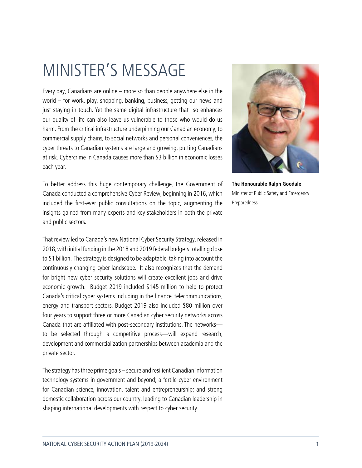# MINISTER'S MESSAGE

Every day, Canadians are online – more so than people anywhere else in the world – for work, play, shopping, banking, business, getting our news and just staying in touch. Yet the same digital infrastructure that so enhances our quality of life can also leave us vulnerable to those who would do us harm. From the critical infrastructure underpinning our Canadian economy, to commercial supply chains, to social networks and personal conveniences, the cyber threats to Canadian systems are large and growing, putting Canadians at risk. Cybercrime in Canada causes more than \$3 billion in economic losses each year.

To better address this huge contemporary challenge, the Government of Canada conducted a comprehensive Cyber Review, beginning in 2016, which included the first-ever public consultations on the topic, augmenting the insights gained from many experts and key stakeholders in both the private and public sectors.

That review led to Canada's new National Cyber Security Strategy, released in 2018, with initial funding in the 2018 and 2019 federal budgets totalling close to \$1 billion. The strategy is designed to be adaptable, taking into account the continuously changing cyber landscape. It also recognizes that the demand for bright new cyber security solutions will create excellent jobs and drive economic growth. Budget 2019 included \$145 million to help to protect Canada's critical cyber systems including in the finance, telecommunications, energy and transport sectors. Budget 2019 also included \$80 million over four years to support three or more Canadian cyber security networks across Canada that are affiliated with post-secondary institutions. The networks to be selected through a competitive process—will expand research, development and commercialization partnerships between academia and the private sector.

The strategy has three prime goals – secure and resilient Canadian information technology systems in government and beyond; a fertile cyber environment for Canadian science, innovation, talent and entrepreneurship; and strong domestic collaboration across our country, leading to Canadian leadership in shaping international developments with respect to cyber security.



**The Honourable Ralph Goodale** Minister of Public Safety and Emergency Preparedness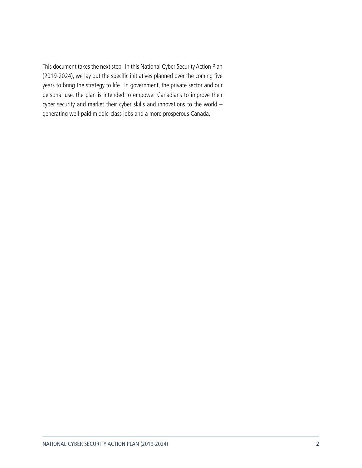This document takes the next step. In this National Cyber Security Action Plan (2019-2024), we lay out the specific initiatives planned over the coming five years to bring the strategy to life. In government, the private sector and our personal use, the plan is intended to empower Canadians to improve their cyber security and market their cyber skills and innovations to the world – generating well-paid middle-class jobs and a more prosperous Canada.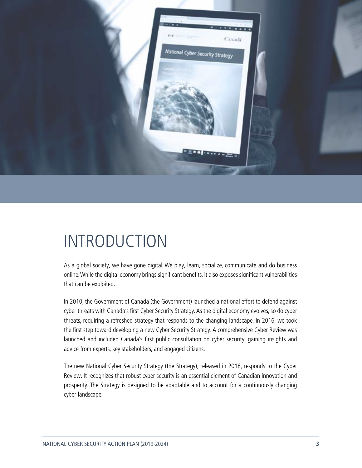

# INTRODUCTION

As a global society, we have gone digital. We play, learn, socialize, communicate and do business online. While the digital economy brings significant benefits, it also exposes significant vulnerabilities that can be exploited.

In 2010, the Government of Canada (the Government) launched a national effort to defend against cyber threats with Canada's first Cyber Security Strategy. As the digital economy evolves, so do cyber threats, requiring a refreshed strategy that responds to the changing landscape. In 2016, we took the first step toward developing a new Cyber Security Strategy. A comprehensive Cyber Review was launched and included Canada's first public consultation on cyber security, gaining insights and advice from experts, key stakeholders, and engaged citizens.

The new National Cyber Security Strategy (the Strategy), released in 2018, responds to the Cyber Review. It recognizes that robust cyber security is an essential element of Canadian innovation and prosperity. The Strategy is designed to be adaptable and to account for a continuously changing cyber landscape.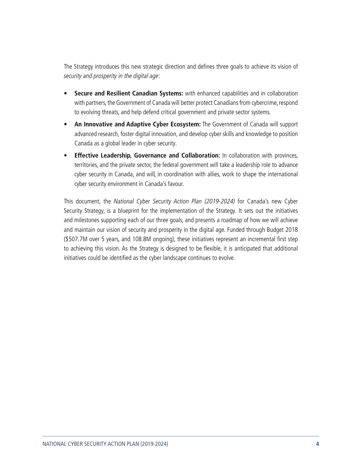The Strategy introduces this new strategic direction and defines three goals to achieve its vision of security and prosperity in the digital age:

- **• Secure and Resilient Canadian Systems:** with enhanced capabilities and in collaboration with partners, the Government of Canada will better protect Canadians from cybercrime, respond to evolving threats, and help defend critical government and private sector systems.
- **• An Innovative and Adaptive Cyber Ecosystem:** The Government of Canada will support advanced research, foster digital innovation, and develop cyber skills and knowledge to position Canada as a global leader in cyber security.
- **• Effective Leadership, Governance and Collaboration:** In collaboration with provinces, territories, and the private sector, the federal government will take a leadership role to advance cyber security in Canada, and will, in coordination with allies, work to shape the international cyber security environment in Canada's favour.

This document, the National Cyber Security Action Plan (2019-2024) for Canada's new Cyber Security Strategy, is a blueprint for the implementation of the Strategy. It sets out the initiatives and milestones supporting each of our three goals, and presents a roadmap of how we will achieve and maintain our vision of security and prosperity in the digital age. Funded through Budget 2018 (\$507.7M over 5 years, and 108.8M ongoing), these initiatives represent an incremental first step to achieving this vision. As the Strategy is designed to be flexible, it is anticipated that additional initiatives could be identified as the cyber landscape continues to evolve.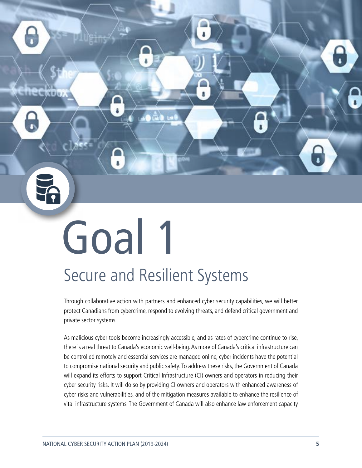# Goal 1 Secure and Resilient Systems

 $1<sup>th</sup>$ 

Through collaborative action with partners and enhanced cyber security capabilities, we will better protect Canadians from cybercrime, respond to evolving threats, and defend critical government and private sector systems.

As malicious cyber tools become increasingly accessible, and as rates of cybercrime continue to rise, there is a real threat to Canada's economic well-being. As more of Canada's critical infrastructure can be controlled remotely and essential services are managed online, cyber incidents have the potential to compromise national security and public safety. To address these risks, the Government of Canada will expand its efforts to support Critical Infrastructure (CI) owners and operators in reducing their cyber security risks. It will do so by providing CI owners and operators with enhanced awareness of cyber risks and vulnerabilities, and of the mitigation measures available to enhance the resilience of vital infrastructure systems. The Government of Canada will also enhance law enforcement capacity

<span id="page-7-0"></span>**LL-LW/CELV/**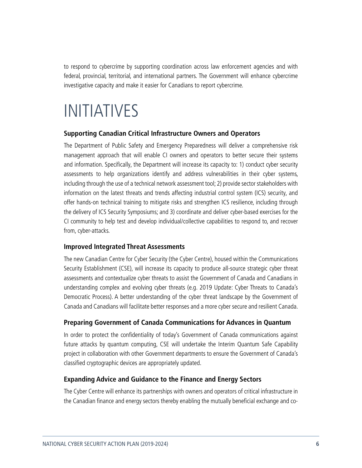<span id="page-8-0"></span>to respond to cybercrime by supporting coordination across law enforcement agencies and with federal, provincial, territorial, and international partners. The Government will enhance cybercrime investigative capacity and make it easier for Canadians to report cybercrime.

# INITIATIVES

#### **Supporting Canadian Critical Infrastructure Owners and Operators**

The Department of Public Safety and Emergency Preparedness will deliver a comprehensive risk management approach that will enable CI owners and operators to better secure their systems and information. Specifically, the Department will increase its capacity to: 1) conduct cyber security assessments to help organizations identify and address vulnerabilities in their cyber systems, including through the use of a technical network assessment tool; 2) provide sector stakeholders with information on the latest threats and trends affecting industrial control system (ICS) security, and offer hands-on technical training to mitigate risks and strengthen ICS resilience, including through the delivery of ICS Security Symposiums; and 3) coordinate and deliver cyber-based exercises for the CI community to help test and develop individual/collective capabilities to respond to, and recover from, cyber-attacks.

#### **Improved Integrated Threat Assessments**

The new Canadian Centre for Cyber Security (the Cyber Centre), housed within the Communications Security Establishment (CSE), will increase its capacity to produce all-source strategic cyber threat assessments and contextualize cyber threats to assist the Government of Canada and Canadians in understanding complex and evolving cyber threats (e.g. 2019 Update: Cyber Threats to Canada's Democratic Process). A better understanding of the cyber threat landscape by the Government of Canada and Canadians will facilitate better responses and a more cyber secure and resilient Canada.

#### **Preparing Government of Canada Communications for Advances in Quantum**

In order to protect the confidentiality of today's Government of Canada communications against future attacks by quantum computing, CSE will undertake the Interim Quantum Safe Capability project in collaboration with other Government departments to ensure the Government of Canada's classified cryptographic devices are appropriately updated.

#### **Expanding Advice and Guidance to the Finance and Energy Sectors**

The Cyber Centre will enhance its partnerships with owners and operators of critical infrastructure in the Canadian finance and energy sectors thereby enabling the mutually beneficial exchange and co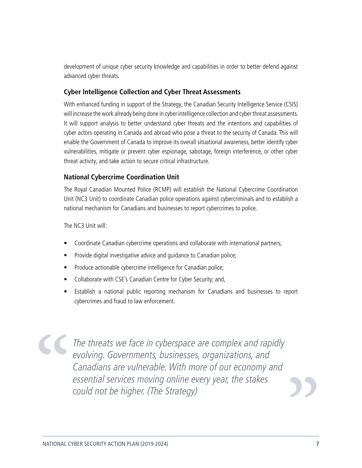<span id="page-9-0"></span>development of unique cyber security knowledge and capabilities in order to better defend against advanced cyber threats.

#### **Cyber Intelligence Collection and Cyber Threat Assessments**

With enhanced funding in support of the Strategy, the Canadian Security Intelligence Service (CSIS) will increase the work already being done in cyber intelligence collection and cyber threat assessments. It will support analysis to better understand cyber threats and the intentions and capabilities of cyber actors operating in Canada and abroad who pose a threat to the security of Canada. This will enable the Government of Canada to improve its overall situational awareness, better identify cyber vulnerabilities, mitigate or prevent cyber espionage, sabotage, foreign interference, or other cyber threat activity, and take action to secure critical infrastructure.

#### **National Cybercrime Coordination Unit**

The Royal Canadian Mounted Police (RCMP) will establish the National Cybercrime Coordination Unit (NC3 Unit) to coordinate Canadian police operations against cybercriminals and to establish a national mechanism for Canadians and businesses to report cybercrimes to police.

The NC3 Unit will:

- Coordinate Canadian cybercrime operations and collaborate with international partners;
- Provide digital investigative advice and guidance to Canadian police;
- Produce actionable cybercrime intelligence for Canadian police;
- Collaborate with CSE's Canadian Centre for Cyber Security; and,
- Establish a national public reporting mechanism for Canadians and businesses to report cybercrimes and fraud to law enforcement.

 $\overline{\phantom{a}}$ The threats we face in cyberspace are complex and rapidly evolving. Governments, businesses, organizations, and Canadians are vulnerable. With more of our economy and essential services moving online every year, the stakes  $\alpha$ could not be higher. (The Strategy)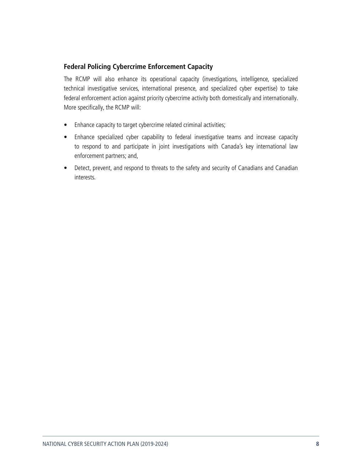#### <span id="page-10-0"></span>**Federal Policing Cybercrime Enforcement Capacity**

The RCMP will also enhance its operational capacity (investigations, intelligence, specialized technical investigative services, international presence, and specialized cyber expertise) to take federal enforcement action against priority cybercrime activity both domestically and internationally. More specifically, the RCMP will:

- Enhance capacity to target cybercrime related criminal activities;
- Enhance specialized cyber capability to federal investigative teams and increase capacity to respond to and participate in joint investigations with Canada's key international law enforcement partners; and,
- Detect, prevent, and respond to threats to the safety and security of Canadians and Canadian interests.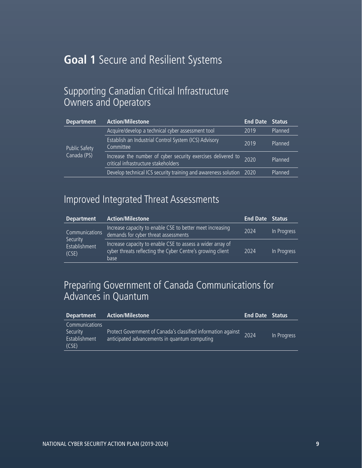## **Goal 1** Secure and Resilient Systems

### Supporting Canadian Critical Infrastructure Owners and Operators

| <b>Department</b>                   | <b>Action/Milestone</b>                                                                              | <b>End Date Status</b> |         |
|-------------------------------------|------------------------------------------------------------------------------------------------------|------------------------|---------|
| <b>Public Safety</b><br>Canada (PS) | Acquire/develop a technical cyber assessment tool                                                    | 2019                   | Planned |
|                                     | <b>Establish an Industrial Control System (ICS) Advisory</b><br>Committee                            | 2019                   | Planned |
|                                     | Increase the number of cyber security exercises delivered to<br>critical infrastructure stakeholders | 2020                   | Planned |
|                                     | Develop technical ICS security training and awareness solution 2020                                  |                        | Planned |

# Improved Integrated Threat Assessments

| <b>Department</b>                                    | <b>Action/Milestone</b>                                                                                                          | <b>End Date Status</b> |             |
|------------------------------------------------------|----------------------------------------------------------------------------------------------------------------------------------|------------------------|-------------|
| Communications<br>Security<br>Establishment<br>(CSE) | Increase capacity to enable CSE to better meet increasing<br>demands for cyber threat assessments                                | 2024                   | In Progress |
|                                                      | Increase capacity to enable CSE to assess a wider array of<br>cyber threats reflecting the Cyber Centre's growing client<br>base | 2024                   | In Progress |

## Preparing Government of Canada Communications for Advances in Quantum

| <b>Department</b>                                    | <b>Action/Milestone</b>                                                                                        | <b>End Date Status</b> |             |
|------------------------------------------------------|----------------------------------------------------------------------------------------------------------------|------------------------|-------------|
| Communications<br>Security<br>Establishment<br>(CSE) | Protect Government of Canada's classified information against<br>anticipated advancements in quantum computing | 2024                   | In Progress |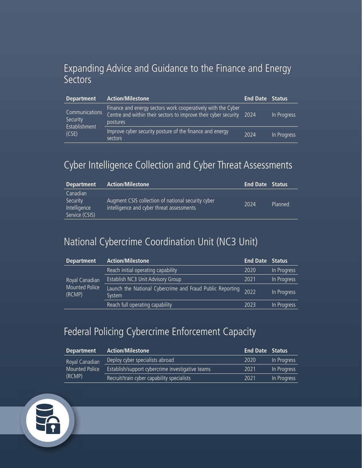## Expanding Advice and Guidance to the Finance and Energy **Sectors**

| <b>Department</b>                                    | <b>Action/Milestone</b>                                                                                                                          | <b>End Date Status</b> |             |
|------------------------------------------------------|--------------------------------------------------------------------------------------------------------------------------------------------------|------------------------|-------------|
| Communications<br>Security<br>Establishment<br>(CSE) | Finance and energy sectors work cooperatively with the Cyber<br>Centre and within their sectors to improve their cyber security 2024<br>postures |                        | In Progress |
|                                                      | Improve cyber security posture of the finance and energy<br>sectors                                                                              | 2024                   | In Progress |

## Cyber Intelligence Collection and Cyber Threat Assessments

| <b>Department</b>                                      | Action/Milestone                                                                                | <b>End Date Status</b> |         |
|--------------------------------------------------------|-------------------------------------------------------------------------------------------------|------------------------|---------|
| Canadian<br>Security<br>Intelligence<br>Service (CSIS) | Augment CSIS collection of national security cyber<br>intelligence and cyber threat assessments | 2024                   | Planned |

## National Cybercrime Coordination Unit (NC3 Unit)

| <b>Department</b>                                 | <b>Action/Milestone</b>                                             | <b>End Date Status</b> |             |
|---------------------------------------------------|---------------------------------------------------------------------|------------------------|-------------|
| Royal Canadian<br><b>Mounted Police</b><br>(RCMP) | Reach initial operating capability                                  | 2020                   | In Progress |
|                                                   | Establish NC3 Unit Advisory Group                                   | 2021                   | In Progress |
|                                                   | Launch the National Cybercrime and Fraud Public Reporting<br>System | 2022                   | In Progress |
|                                                   | Reach full operating capability                                     | 2023                   | In Progress |

## Federal Policing Cybercrime Enforcement Capacity

| <b>Department</b>                          | <b>Action/Milestone</b>                          | <b>End Date Status</b> |             |
|--------------------------------------------|--------------------------------------------------|------------------------|-------------|
| Royal Canadian<br>Mounted Police<br>(RCMP) | Deploy cyber specialists abroad                  | 2020                   | In Progress |
|                                            | Establish/support cybercrime investigative teams | 2021                   | In Progress |
|                                            | Recruit/train cyber capability specialists       | 2021                   | In Progress |

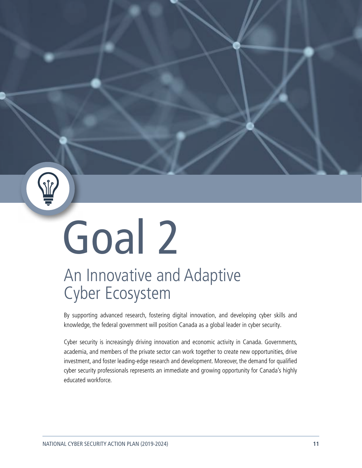# <span id="page-13-0"></span>Goal 2

# An Innovative and Adaptive Cyber Ecosystem

By supporting advanced research, fostering digital innovation, and developing cyber skills and knowledge, the federal government will position Canada as a global leader in cyber security.

Cyber security is increasingly driving innovation and economic activity in Canada. Governments, academia, and members of the private sector can work together to create new opportunities, drive investment, and foster leading-edge research and development. Moreover, the demand for qualified cyber security professionals represents an immediate and growing opportunity for Canada's highly educated workforce.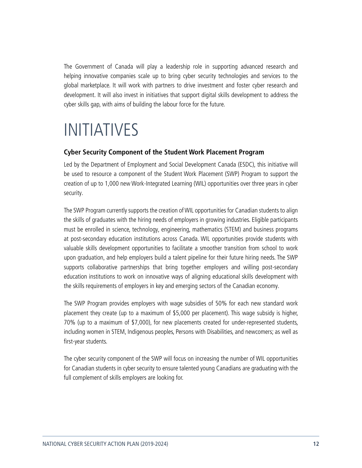<span id="page-14-0"></span>The Government of Canada will play a leadership role in supporting advanced research and helping innovative companies scale up to bring cyber security technologies and services to the global marketplace. It will work with partners to drive investment and foster cyber research and development. It will also invest in initiatives that support digital skills development to address the cyber skills gap, with aims of building the labour force for the future.

# INITIATIVES

#### **Cyber Security Component of the Student Work Placement Program**

Led by the Department of Employment and Social Development Canada (ESDC), this initiative will be used to resource a component of the Student Work Placement (SWP) Program to support the creation of up to 1,000 new Work-Integrated Learning (WIL) opportunities over three years in cyber security.

The SWP Program currently supports the creation of WIL opportunities for Canadian students to align the skills of graduates with the hiring needs of employers in growing industries. Eligible participants must be enrolled in science, technology, engineering, mathematics (STEM) and business programs at post-secondary education institutions across Canada. WIL opportunities provide students with valuable skills development opportunities to facilitate a smoother transition from school to work upon graduation, and help employers build a talent pipeline for their future hiring needs. The SWP supports collaborative partnerships that bring together employers and willing post-secondary education institutions to work on innovative ways of aligning educational skills development with the skills requirements of employers in key and emerging sectors of the Canadian economy.

The SWP Program provides employers with wage subsidies of 50% for each new standard work placement they create (up to a maximum of \$5,000 per placement). This wage subsidy is higher, 70% (up to a maximum of \$7,000), for new placements created for under-represented students, including women in STEM, Indigenous peoples, Persons with Disabilities, and newcomers; as well as first-year students.

The cyber security component of the SWP will focus on increasing the number of WIL opportunities for Canadian students in cyber security to ensure talented young Canadians are graduating with the full complement of skills employers are looking for.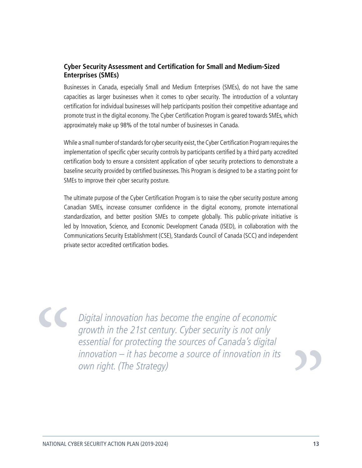#### <span id="page-15-0"></span>**Cyber Security Assessment and Certification for Small and Medium-Sized Enterprises (SMEs)**

Businesses in Canada, especially Small and Medium Enterprises (SMEs), do not have the same capacities as larger businesses when it comes to cyber security. The introduction of a voluntary certification for individual businesses will help participants position their competitive advantage and promote trust in the digital economy. The Cyber Certification Program is geared towards SMEs, which approximately make up 98% of the total number of businesses in Canada.

While a small number of standards for cyber security exist, the Cyber Certification Program requires the implementation of specific cyber security controls by participants certified by a third party accredited certification body to ensure a consistent application of cyber security protections to demonstrate a baseline security provided by certified businesses. This Program is designed to be a starting point for SMEs to improve their cyber security posture.

The ultimate purpose of the Cyber Certification Program is to raise the cyber security posture among Canadian SMEs, increase consumer confidence in the digital economy, promote international standardization, and better position SMEs to compete globally. This public-private initiative is led by Innovation, Science, and Economic Development Canada (ISED), in collaboration with the Communications Security Establishment (CSE), Standards Council of Canada (SCC) and independent private sector accredited certification bodies.

Digital innovation has become the engine of economic growth in the 21st century. Cyber security is not only essential for protecting the sources of Canada's digital innovation – it has become a source of innovation in its own right. (The Strategy)

 $\overline{\phantom{0}1}$ 

 $\alpha$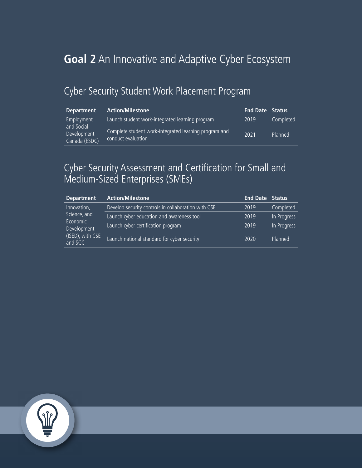# **Goal 2** An Innovative and Adaptive Cyber Ecosystem

## Cyber Security Student Work Placement Program

| <b>Department</b>                          | <b>Action/Milestone</b>                                                     | <b>End Date Status</b> |           |
|--------------------------------------------|-----------------------------------------------------------------------------|------------------------|-----------|
| Employment                                 | Launch student work-integrated learning program                             | 2019                   | Completed |
| and Social<br>Development<br>Canada (ESDC) | Complete student work-integrated learning program and<br>conduct evaluation | 2021                   | Planned   |

## Cyber Security Assessment and Certification for Small and Medium-Sized Enterprises (SMEs)

| <b>Department</b>                                                                     | <b>Action/Milestone</b>                             | <b>End Date Status</b> |             |
|---------------------------------------------------------------------------------------|-----------------------------------------------------|------------------------|-------------|
| Innovation,<br>Science, and<br>Economic<br>Development<br>(ISED), with CSE<br>and SCC | Develop security controls in collaboration with CSE | 2019                   | Completed   |
|                                                                                       | Launch cyber education and awareness tool           | 2019                   | In Progress |
|                                                                                       | Launch cyber certification program                  | 2019                   | In Progress |
|                                                                                       | Launch national standard for cyber security         | 2020                   | Planned     |

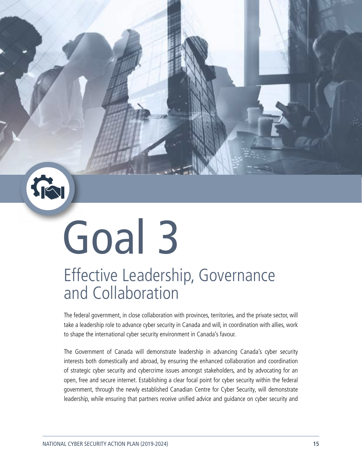<span id="page-17-0"></span>

# Goal 3

# Effective Leadership, Governance and Collaboration

The federal government, in close collaboration with provinces, territories, and the private sector, will take a leadership role to advance cyber security in Canada and will, in coordination with allies, work to shape the international cyber security environment in Canada's favour.

The Government of Canada will demonstrate leadership in advancing Canada's cyber security interests both domestically and abroad, by ensuring the enhanced collaboration and coordination of strategic cyber security and cybercrime issues amongst stakeholders, and by advocating for an open, free and secure internet. Establishing a clear focal point for cyber security within the federal government, through the newly established Canadian Centre for Cyber Security, will demonstrate leadership, while ensuring that partners receive unified advice and guidance on cyber security and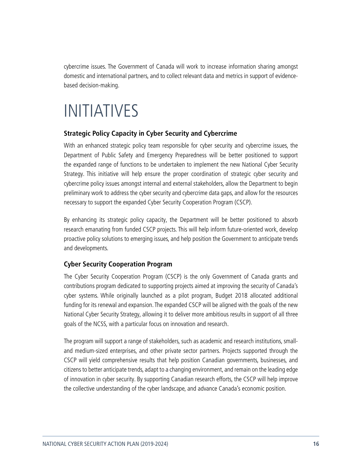<span id="page-18-0"></span>cybercrime issues. The Government of Canada will work to increase information sharing amongst domestic and international partners, and to collect relevant data and metrics in support of evidencebased decision-making.

# INITIATIVES

#### **Strategic Policy Capacity in Cyber Security and Cybercrime**

With an enhanced strategic policy team responsible for cyber security and cybercrime issues, the Department of Public Safety and Emergency Preparedness will be better positioned to support the expanded range of functions to be undertaken to implement the new National Cyber Security Strategy. This initiative will help ensure the proper coordination of strategic cyber security and cybercrime policy issues amongst internal and external stakeholders, allow the Department to begin preliminary work to address the cyber security and cybercrime data gaps, and allow for the resources necessary to support the expanded Cyber Security Cooperation Program (CSCP).

By enhancing its strategic policy capacity, the Department will be better positioned to absorb research emanating from funded CSCP projects. This will help inform future-oriented work, develop proactive policy solutions to emerging issues, and help position the Government to anticipate trends and developments.

#### **Cyber Security Cooperation Program**

The Cyber Security Cooperation Program (CSCP) is the only Government of Canada grants and contributions program dedicated to supporting projects aimed at improving the security of Canada's cyber systems. While originally launched as a pilot program, Budget 2018 allocated additional funding for its renewal and expansion. The expanded CSCP will be aligned with the goals of the new National Cyber Security Strategy, allowing it to deliver more ambitious results in support of all three goals of the NCSS, with a particular focus on innovation and research.

The program will support a range of stakeholders, such as academic and research institutions, smalland medium-sized enterprises, and other private sector partners. Projects supported through the CSCP will yield comprehensive results that help position Canadian governments, businesses, and citizens to better anticipate trends, adapt to a changing environment, and remain on the leading edge of innovation in cyber security. By supporting Canadian research efforts, the CSCP will help improve the collective understanding of the cyber landscape, and advance Canada's economic position.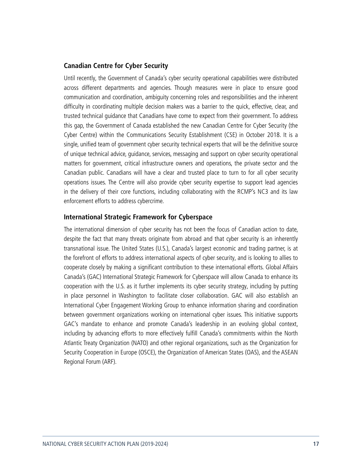#### <span id="page-19-0"></span>**Canadian Centre for Cyber Security**

Until recently, the Government of Canada's cyber security operational capabilities were distributed across different departments and agencies. Though measures were in place to ensure good communication and coordination, ambiguity concerning roles and responsibilities and the inherent difficulty in coordinating multiple decision makers was a barrier to the quick, effective, clear, and trusted technical guidance that Canadians have come to expect from their government. To address this gap, the Government of Canada established the new Canadian Centre for Cyber Security (the Cyber Centre) within the Communications Security Establishment (CSE) in October 2018. It is a single, unified team of government cyber security technical experts that will be the definitive source of unique technical advice, guidance, services, messaging and support on cyber security operational matters for government, critical infrastructure owners and operations, the private sector and the Canadian public. Canadians will have a clear and trusted place to turn to for all cyber security operations issues. The Centre will also provide cyber security expertise to support lead agencies in the delivery of their core functions, including collaborating with the RCMP's NC3 and its law enforcement efforts to address cybercrime.

#### **International Strategic Framework for Cyberspace**

The international dimension of cyber security has not been the focus of Canadian action to date, despite the fact that many threats originate from abroad and that cyber security is an inherently transnational issue. The United States (U.S.), Canada's largest economic and trading partner, is at the forefront of efforts to address international aspects of cyber security, and is looking to allies to cooperate closely by making a significant contribution to these international efforts. Global Affairs Canada's (GAC) International Strategic Framework for Cyberspace will allow Canada to enhance its cooperation with the U.S. as it further implements its cyber security strategy, including by putting in place personnel in Washington to facilitate closer collaboration. GAC will also establish an International Cyber Engagement Working Group to enhance information sharing and coordination between government organizations working on international cyber issues. This initiative supports GAC's mandate to enhance and promote Canada's leadership in an evolving global context, including by advancing efforts to more effectively fulfill Canada's commitments within the North Atlantic Treaty Organization (NATO) and other regional organizations, such as the Organization for Security Cooperation in Europe (OSCE), the Organization of American States (OAS), and the ASEAN Regional Forum (ARF).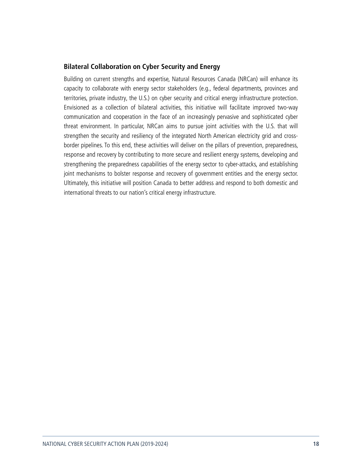#### <span id="page-20-0"></span>**Bilateral Collaboration on Cyber Security and Energy**

Building on current strengths and expertise, Natural Resources Canada (NRCan) will enhance its capacity to collaborate with energy sector stakeholders (e.g., federal departments, provinces and territories, private industry, the U.S.) on cyber security and critical energy infrastructure protection. Envisioned as a collection of bilateral activities, this initiative will facilitate improved two-way communication and cooperation in the face of an increasingly pervasive and sophisticated cyber threat environment. In particular, NRCan aims to pursue joint activities with the U.S. that will strengthen the security and resiliency of the integrated North American electricity grid and crossborder pipelines. To this end, these activities will deliver on the pillars of prevention, preparedness, response and recovery by contributing to more secure and resilient energy systems, developing and strengthening the preparedness capabilities of the energy sector to cyber-attacks, and establishing joint mechanisms to bolster response and recovery of government entities and the energy sector. Ultimately, this initiative will position Canada to better address and respond to both domestic and international threats to our nation's critical energy infrastructure.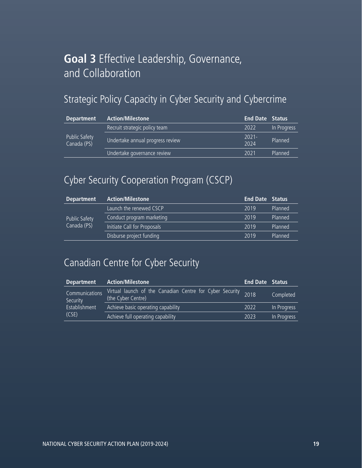# **Goal 3** Effective Leadership, Governance, and Collaboration

## Strategic Policy Capacity in Cyber Security and Cybercrime

| <b>Department</b>                   | <b>Action/Milestone</b>          | <b>End Date Status</b> |             |
|-------------------------------------|----------------------------------|------------------------|-------------|
| <b>Public Safety</b><br>Canada (PS) | Recruit strategic policy team    | 2022                   | In Progress |
|                                     | Undertake annual progress review | $2021 -$<br>2024       | Planned     |
|                                     | Undertake governance review      | 2021                   | Planned     |

## Cyber Security Cooperation Program (CSCP)

| <b>Department</b>                   | <b>Action/Milestone</b>     | <b>End Date Status</b> |         |
|-------------------------------------|-----------------------------|------------------------|---------|
| <b>Public Safety</b><br>Canada (PS) | Launch the renewed CSCP     | 2019                   | Planned |
|                                     | Conduct program marketing   | 2019                   | Planned |
|                                     | Initiate Call for Proposals | 2019                   | Planned |
|                                     | Disburse project funding    | 2019                   | Planned |

## Canadian Centre for Cyber Security

| <b>Department</b>                                    | <b>Action/Milestone</b>                                                        | <b>End Date Status</b> |             |
|------------------------------------------------------|--------------------------------------------------------------------------------|------------------------|-------------|
| Communications<br>Security<br>Establishment<br>(CSE) | Virtual launch of the Canadian Centre for Cyber Security<br>(the Cyber Centre) | 2018                   | Completed   |
|                                                      | Achieve basic operating capability                                             | 2022                   | In Progress |
|                                                      | Achieve full operating capability                                              | 2023                   | In Progress |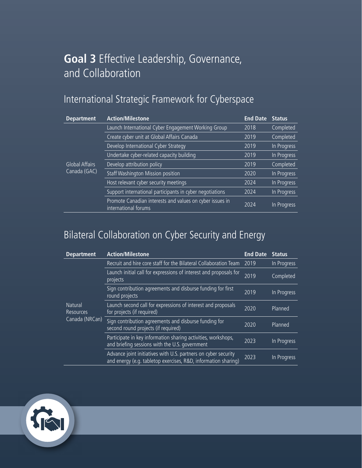# **Goal 3** Effective Leadership, Governance, and Collaboration

# International Strategic Framework for Cyberspace

| <b>Department</b>                     | <b>Action/Milestone</b>                                                          | <b>End Date</b> | <b>Status</b> |
|---------------------------------------|----------------------------------------------------------------------------------|-----------------|---------------|
| <b>Global Affairs</b><br>Canada (GAC) | Launch International Cyber Engagement Working Group                              | 2018            | Completed     |
|                                       | Create cyber unit at Global Affairs Canada                                       | 2019            | Completed     |
|                                       | Develop International Cyber Strategy                                             | 2019            | In Progress   |
|                                       | Undertake cyber-related capacity building                                        | 2019            | In Progress   |
|                                       | Develop attribution policy                                                       | 2019            | Completed     |
|                                       | Staff Washington Mission position                                                | 2020            | In Progress   |
|                                       | Host relevant cyber security meetings                                            | 2024            | In Progress   |
|                                       | Support international participants in cyber negotiations                         | 2024            | In Progress   |
|                                       | Promote Canadian interests and values on cyber issues in<br>international forums | 2024            | In Progress   |

## Bilateral Collaboration on Cyber Security and Energy

| <b>Department</b>                             | <b>Action/Milestone</b>                                                                                                          | <b>End Date</b> | <b>Status</b> |
|-----------------------------------------------|----------------------------------------------------------------------------------------------------------------------------------|-----------------|---------------|
| <b>Natural</b><br>Resources<br>Canada (NRCan) | Recruit and hire core staff for the Bilateral Collaboration Team                                                                 | 2019            | In Progress   |
|                                               | Launch initial call for expressions of interest and proposals for<br>projects                                                    | 2019            | Completed     |
|                                               | Sign contribution agreements and disburse funding for first<br>round projects                                                    | 2019            | In Progress   |
|                                               | Launch second call for expressions of interest and proposals<br>for projects (if required)                                       | 2020            | Planned       |
|                                               | Sign contribution agreements and disburse funding for<br>second round projects (if required)                                     | 2020            | Planned       |
|                                               | Participate in key information sharing activities, workshops,<br>and briefing sessions with the U.S. government                  | 2023            | In Progress   |
|                                               | Advance joint initiatives with U.S. partners on cyber security<br>and energy (e.g. tabletop exercises, R&D, information sharing) | 2023            | In Progress   |